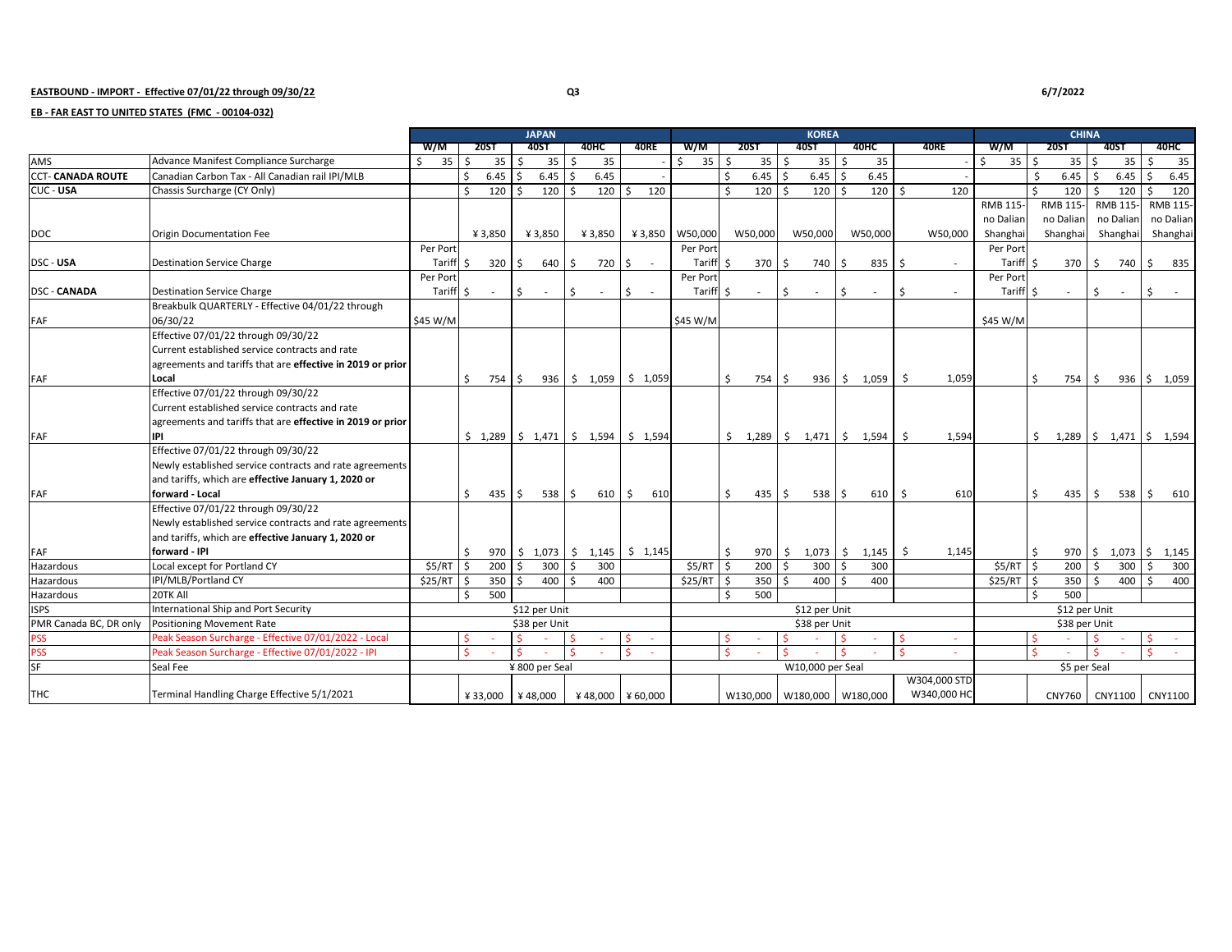## **EASTBOUND - IMPORT - Effective 07/01/22 through 09/30/22 Q3 6/7/2022**

## **EB - FAR EAST TO UNITED STATES (FMC - 00104-032)**

|                          |                                                            | <b>JAPAN</b>     |    |                  |         |                |    |                                                                                 |    |             |            |                    |                  | <b>KOREA</b> |                                                                                                                  |               | <b>CHINA</b>   |    |              |                  |               |                               |         |                       |               |                 |  |
|--------------------------|------------------------------------------------------------|------------------|----|------------------|---------|----------------|----|---------------------------------------------------------------------------------|----|-------------|------------|--------------------|------------------|--------------|------------------------------------------------------------------------------------------------------------------|---------------|----------------|----|--------------|------------------|---------------|-------------------------------|---------|-----------------------|---------------|-----------------|--|
|                          |                                                            | W/M              |    | <b>20ST</b>      |         | 40ST           |    | 40HC                                                                            |    | <b>40RE</b> | W/M        |                    | <b>20ST</b>      |              | <b>40ST</b>                                                                                                      |               | 40HC           |    | <b>40RE</b>  | W/M              |               | <b>20ST</b>                   |         | <b>40ST</b>           |               | 40HC            |  |
| <b>AMS</b>               | Advance Manifest Compliance Surcharge                      | $35 \quad$<br>Ŝ. |    | $35 \quad$ \$    |         | 35             | Ś, | 35                                                                              |    |             | 35<br>\$   | - Ś                | $35 \quad$ \$    |              | 35                                                                                                               | \$            | 35             |    |              | $35 \quad$<br>S. |               | $35 \,$ $\uparrow$            |         | 35                    | - Ś           | 35              |  |
| <b>CCT- CANADA ROUTE</b> | Canadian Carbon Tax - All Canadian rail IPI/MLB            |                  | Ś. | $6.45$ \$        |         | 6.45           | S. | 6.45                                                                            |    |             |            | $\dot{\mathsf{s}}$ | $6.45$ \$        |              | 6.45                                                                                                             | <sup>\$</sup> | 6.45           |    |              |                  | Ŝ.            | $6.45$ \$                     |         | 6.45                  | <sup>\$</sup> | 6.45            |  |
| CUC - USA                | Chassis Surcharge (CY Only)                                |                  | \$ | 120 <sub>5</sub> |         | 120            |    | $120 \,$ $\pm$                                                                  |    | 120         |            |                    | 120 <sub>5</sub> |              | 120                                                                                                              | $\zeta$       | 120            | Ŝ. | 120          |                  | $\zeta$       | 120                           | $\zeta$ | 120                   | \$            | 120             |  |
|                          |                                                            |                  |    |                  |         |                |    |                                                                                 |    |             |            |                    |                  |              |                                                                                                                  |               |                |    |              | <b>RMB 115-</b>  |               | RMB 115-                      |         | RMB 115-              |               | <b>RMB 115-</b> |  |
|                          |                                                            |                  |    |                  |         |                |    |                                                                                 |    |             |            |                    |                  |              |                                                                                                                  |               |                |    |              | no Dalian        |               | no Dalian                     |         | no Dalian             |               | no Dalian       |  |
| <b>DOC</b>               | <b>Origin Documentation Fee</b>                            |                  |    | ¥3,850           |         | ¥3,850         |    | ¥3,850                                                                          |    | ¥3,850      | W50,000    |                    | W50,000          |              | W50,000                                                                                                          |               | W50,000        |    | W50,000      | Shanghai         |               | Shanghai                      |         | Shanghai              |               | Shanghai        |  |
|                          |                                                            | Per Port         |    |                  |         |                |    |                                                                                 |    |             | Per Port   |                    |                  |              |                                                                                                                  |               |                |    |              | Per Port         |               |                               |         |                       |               |                 |  |
| DSC - USA                | <b>Destination Service Charge</b>                          | Tariff \$        |    | $320 \div$       |         | 640 \$         |    | 720                                                                             | \$ |             | Tariff \$  |                    | $370 \pm$        |              | 740                                                                                                              | \$            | $835 \quad $5$ |    |              | Tariff \$        |               |                               |         | 370 \$ 740            | \$            | 835             |  |
|                          |                                                            | Per Port         |    |                  |         |                |    |                                                                                 |    |             | Per Port   |                    |                  |              |                                                                                                                  |               |                |    |              | Per Port         |               |                               |         |                       |               |                 |  |
| <b>DSC - CANADA</b>      | <b>Destination Service Charge</b>                          | Tariff \$        |    | $\sim$           | I\$     | $\sim$         | \$ | $\sim$                                                                          | \$ |             | Tariff     | I\$                |                  | Ŝ.           | $\sim$                                                                                                           | Ŝ.            | $\sim$         | \$ |              | Tariff \$        |               | $\sim$                        | \$      | $\sim$                | \$            | $\sim 100$      |  |
|                          | Breakbulk QUARTERLY - Effective 04/01/22 through           |                  |    |                  |         |                |    |                                                                                 |    |             |            |                    |                  |              |                                                                                                                  |               |                |    |              |                  |               |                               |         |                       |               |                 |  |
| FAF                      | 06/30/22                                                   | \$45 W/M         |    |                  |         |                |    |                                                                                 |    |             | \$45 W/M   |                    |                  |              |                                                                                                                  |               |                |    |              | \$45 W/M         |               |                               |         |                       |               |                 |  |
|                          | Effective 07/01/22 through 09/30/22                        |                  |    |                  |         |                |    |                                                                                 |    |             |            |                    |                  |              |                                                                                                                  |               |                |    |              |                  |               |                               |         |                       |               |                 |  |
|                          | Current established service contracts and rate             |                  |    |                  |         |                |    |                                                                                 |    |             |            |                    |                  |              |                                                                                                                  |               |                |    |              |                  |               |                               |         |                       |               |                 |  |
|                          | agreements and tariffs that are effective in 2019 or prior |                  |    |                  |         |                |    |                                                                                 |    |             |            |                    |                  |              |                                                                                                                  |               |                |    |              |                  |               |                               |         |                       |               |                 |  |
| FAF                      | Local                                                      |                  | Ś. | 754 \$           |         |                |    | $936$ \$ 1,059                                                                  |    | \$1,059     |            | Ŝ.                 | 754 \$           |              |                                                                                                                  |               | 936 \$ 1,059   | \$ | 1,059        |                  | Ŝ.            | 754 \$                        |         |                       |               | 936 \$ 1,059    |  |
|                          | Effective 07/01/22 through 09/30/22                        |                  |    |                  |         |                |    |                                                                                 |    |             |            |                    |                  |              |                                                                                                                  |               |                |    |              |                  |               |                               |         |                       |               |                 |  |
|                          | Current established service contracts and rate             |                  |    |                  |         |                |    |                                                                                 |    |             |            |                    |                  |              |                                                                                                                  |               |                |    |              |                  |               |                               |         |                       |               |                 |  |
|                          | agreements and tariffs that are effective in 2019 or prior |                  |    |                  |         |                |    |                                                                                 |    |             |            |                    |                  |              |                                                                                                                  |               |                |    |              |                  |               |                               |         |                       |               |                 |  |
| FAF                      | IPI                                                        |                  |    |                  |         |                |    | $\frac{1}{2}$ 1,289 $\frac{1}{2}$ 1,471 $\frac{1}{2}$ 1,594 $\frac{1}{2}$ 1,594 |    |             |            |                    |                  |              | $\begin{array}{cccc} \text{\textless} & 1,289 & \text{\textless} & 1,471 & \text{\textless} & 1,594 \end{array}$ |               |                | S. | 1,594        |                  | S.            | $1,289$ \$ $1,471$ \$ $1,594$ |         |                       |               |                 |  |
|                          | Effective 07/01/22 through 09/30/22                        |                  |    |                  |         |                |    |                                                                                 |    |             |            |                    |                  |              |                                                                                                                  |               |                |    |              |                  |               |                               |         |                       |               |                 |  |
|                          | Newly established service contracts and rate agreements    |                  |    |                  |         |                |    |                                                                                 |    |             |            |                    |                  |              |                                                                                                                  |               |                |    |              |                  |               |                               |         |                       |               |                 |  |
|                          | and tariffs, which are effective January 1, 2020 or        |                  |    |                  |         |                |    |                                                                                 |    |             |            |                    |                  |              |                                                                                                                  |               |                |    |              |                  |               |                               |         |                       |               |                 |  |
| FAF                      | forward - Local                                            |                  | Ś. | $435 \quad$ \$   |         | $538$ \$       |    | $610 \div$                                                                      |    | 610         |            | Ŝ.                 | $435 \quad$ \$   |              | $538$ \$                                                                                                         |               | $610 \quad $$  |    | 610          |                  | Ŝ.            | $435 \quad$ \$                |         | $538 \quad$ \$        |               | 610             |  |
|                          | Effective 07/01/22 through 09/30/22                        |                  |    |                  |         |                |    |                                                                                 |    |             |            |                    |                  |              |                                                                                                                  |               |                |    |              |                  |               |                               |         |                       |               |                 |  |
|                          | Newly established service contracts and rate agreements    |                  |    |                  |         |                |    |                                                                                 |    |             |            |                    |                  |              |                                                                                                                  |               |                |    |              |                  |               |                               |         |                       |               |                 |  |
|                          | and tariffs, which are effective January 1, 2020 or        |                  |    |                  |         |                |    |                                                                                 |    |             |            |                    |                  |              |                                                                                                                  |               |                |    |              |                  |               |                               |         |                       |               |                 |  |
| FAF                      | forward - IPI                                              |                  | Ŝ. |                  |         |                |    | $970$ \$ 1,073 \$ 1,145 \$ 1,145                                                |    |             |            | Ŝ.                 | 970 \$           |              | $1,073$ \$                                                                                                       |               | 1,145          | S. | 1,145        |                  | l \$          |                               |         | 970 \$ 1,073 \$ 1,145 |               |                 |  |
| Hazardous                | Local except for Portland CY                               | \$5/RT           | Ŝ. | 200              |         | 300            |    | 300                                                                             |    |             | $$5/RT$ \$ |                    | $200 \quad$ \$   |              | 300                                                                                                              | -\$           | 300            |    |              | $$5/RT$ \$       |               | 200                           |         | 300                   |               | 300             |  |
| Hazardous                | IPI/MLB/Portland CY                                        | \$25/RT          | \$ | $350$ \$         |         | 400            | Ŝ. | 400                                                                             |    |             | \$25/RT    | l \$               | 350 <sub>5</sub> |              | 400                                                                                                              | Ŝ.            | 400            |    |              | $$25/RT$ \$      |               | $350$ \$                      |         | 400                   | S.            | 400             |  |
| Hazardous                | 20TK All                                                   |                  | ¢  | 500              |         |                |    |                                                                                 |    |             |            |                    | 500              |              |                                                                                                                  |               |                |    |              |                  | Ŝ.            | 500                           |         |                       |               |                 |  |
| <b>ISPS</b>              | International Ship and Port Security                       |                  |    |                  |         | \$12 per Unit  |    |                                                                                 |    |             |            |                    |                  |              | \$12 per Unit                                                                                                    |               |                |    |              |                  |               | \$12 per Unit                 |         |                       |               |                 |  |
| PMR Canada BC, DR only   | <b>Positioning Movement Rate</b>                           |                  |    |                  |         | \$38 per Unit  |    |                                                                                 |    |             |            | \$38 per Unit      |                  |              |                                                                                                                  |               |                |    |              |                  | \$38 per Unit |                               |         |                       |               |                 |  |
| <b>PSS</b>               | Peak Season Surcharge - Effective 07/01/2022 - Local       |                  |    |                  |         |                |    |                                                                                 | Ŝ. |             |            |                    |                  | Ŝ            |                                                                                                                  |               |                | \$ |              |                  | Ŝ.            |                               |         |                       |               | $\sim$          |  |
| <b>PSS</b>               | Peak Season Surcharge - Effective 07/01/2022 - IPI         |                  |    |                  | $\zeta$ |                |    |                                                                                 | Ŝ. |             |            |                    |                  |              |                                                                                                                  |               |                | ς. |              |                  | $\leq$        |                               |         |                       |               |                 |  |
| SF                       | Seal Fee                                                   |                  |    |                  |         | ¥ 800 per Seal |    |                                                                                 |    |             |            | W10,000 per Seal   |                  |              |                                                                                                                  |               |                |    |              |                  | \$5 per Seal  |                               |         |                       |               |                 |  |
|                          |                                                            |                  |    |                  |         |                |    |                                                                                 |    |             |            |                    |                  |              |                                                                                                                  |               |                |    | W304,000 STD |                  |               |                               |         |                       |               |                 |  |
| THC                      | Terminal Handling Charge Effective 5/1/2021                |                  |    | ¥33,000 ¥48,000  |         |                |    | ¥48,000 ¥60,000                                                                 |    |             |            |                    |                  |              | W130,000 W180,000 W180,000                                                                                       |               |                |    | W340,000 HC  |                  |               | CNY760                        |         | CNY1100 CNY1100       |               |                 |  |